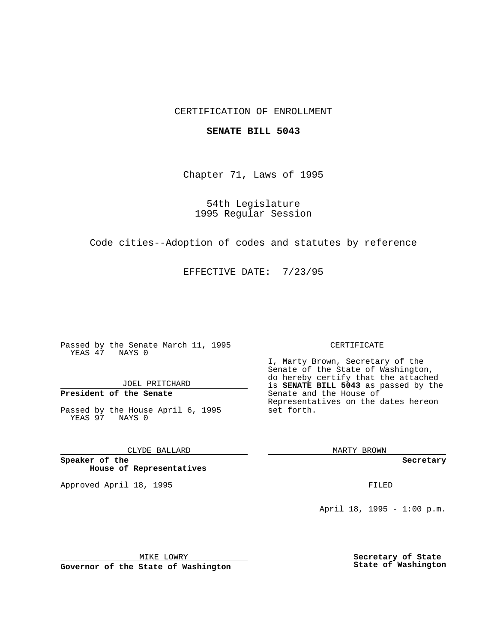### CERTIFICATION OF ENROLLMENT

#### **SENATE BILL 5043**

Chapter 71, Laws of 1995

54th Legislature 1995 Regular Session

Code cities--Adoption of codes and statutes by reference

EFFECTIVE DATE: 7/23/95

Passed by the Senate March 11, 1995 YEAS 47 NAYS 0

JOEL PRITCHARD

# **President of the Senate**

Passed by the House April 6, 1995 YEAS 97 NAYS 0

CLYDE BALLARD

**Speaker of the House of Representatives**

Approved April 18, 1995 FILED

#### CERTIFICATE

I, Marty Brown, Secretary of the Senate of the State of Washington, do hereby certify that the attached is **SENATE BILL 5043** as passed by the Senate and the House of Representatives on the dates hereon set forth.

MARTY BROWN

**Secretary**

April 18, 1995 - 1:00 p.m.

MIKE LOWRY

**Governor of the State of Washington**

**Secretary of State State of Washington**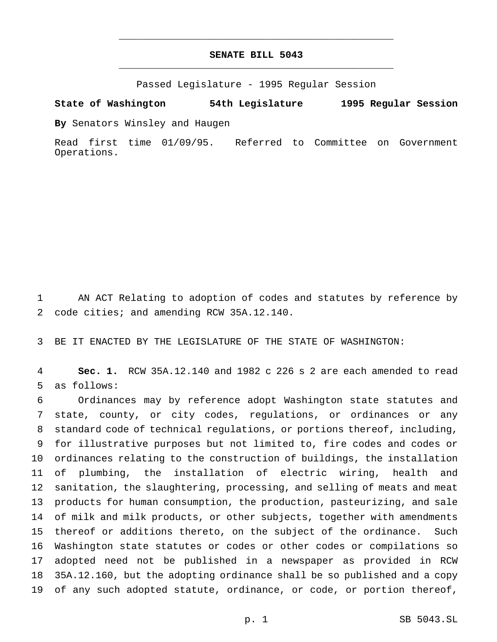## **SENATE BILL 5043** \_\_\_\_\_\_\_\_\_\_\_\_\_\_\_\_\_\_\_\_\_\_\_\_\_\_\_\_\_\_\_\_\_\_\_\_\_\_\_\_\_\_\_\_\_\_\_

\_\_\_\_\_\_\_\_\_\_\_\_\_\_\_\_\_\_\_\_\_\_\_\_\_\_\_\_\_\_\_\_\_\_\_\_\_\_\_\_\_\_\_\_\_\_\_

Passed Legislature - 1995 Regular Session

**State of Washington 54th Legislature 1995 Regular Session**

**By** Senators Winsley and Haugen

Read first time 01/09/95. Referred to Committee on Government Operations.

 AN ACT Relating to adoption of codes and statutes by reference by 2 code cities; and amending RCW 35A.12.140.

BE IT ENACTED BY THE LEGISLATURE OF THE STATE OF WASHINGTON:

 **Sec. 1.** RCW 35A.12.140 and 1982 c 226 s 2 are each amended to read as follows:

 Ordinances may by reference adopt Washington state statutes and state, county, or city codes, regulations, or ordinances or any standard code of technical regulations, or portions thereof, including, for illustrative purposes but not limited to, fire codes and codes or ordinances relating to the construction of buildings, the installation of plumbing, the installation of electric wiring, health and sanitation, the slaughtering, processing, and selling of meats and meat products for human consumption, the production, pasteurizing, and sale of milk and milk products, or other subjects, together with amendments thereof or additions thereto, on the subject of the ordinance. Such Washington state statutes or codes or other codes or compilations so adopted need not be published in a newspaper as provided in RCW 35A.12.160, but the adopting ordinance shall be so published and a copy of any such adopted statute, ordinance, or code, or portion thereof,